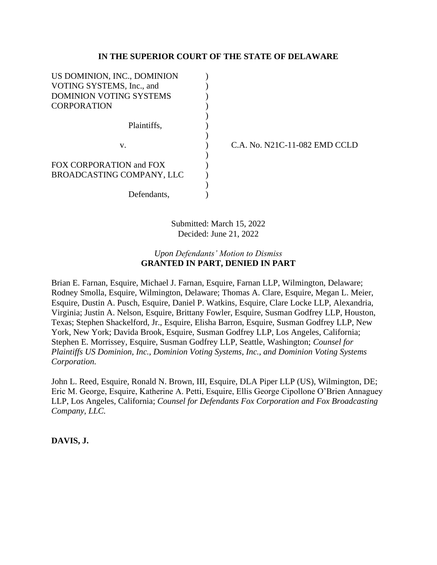# **IN THE SUPERIOR COURT OF THE STATE OF DELAWARE**

| US DOMINION, INC., DOMINION |           |
|-----------------------------|-----------|
| VOTING SYSTEMS, Inc., and   |           |
| DOMINION VOTING SYSTEMS     |           |
| <b>CORPORATION</b>          |           |
|                             |           |
| Plaintiffs,                 |           |
|                             |           |
| v.                          | $C.A.$ No |
|                             |           |
| FOX CORPORATION and FOX     |           |
| BROADCASTING COMPANY, LLC   |           |
|                             |           |
| Defendants,                 |           |

C.A. No. N21C-11-082 EMD CCLD

Submitted: March 15, 2022 Decided: June 21, 2022

# *Upon Defendants' Motion to Dismiss* **GRANTED IN PART, DENIED IN PART**

Brian E. Farnan, Esquire, Michael J. Farnan, Esquire, Farnan LLP, Wilmington, Delaware; Rodney Smolla, Esquire, Wilmington, Delaware; Thomas A. Clare, Esquire, Megan L. Meier, Esquire, Dustin A. Pusch, Esquire, Daniel P. Watkins, Esquire, Clare Locke LLP, Alexandria, Virginia; Justin A. Nelson, Esquire, Brittany Fowler, Esquire, Susman Godfrey LLP, Houston, Texas; Stephen Shackelford, Jr., Esquire, Elisha Barron, Esquire, Susman Godfrey LLP, New York, New York; Davida Brook, Esquire, Susman Godfrey LLP, Los Angeles, California; Stephen E. Morrissey, Esquire, Susman Godfrey LLP, Seattle, Washington; *Counsel for Plaintiffs US Dominion, Inc., Dominion Voting Systems, Inc., and Dominion Voting Systems Corporation.*

John L. Reed, Esquire, Ronald N. Brown, III, Esquire, DLA Piper LLP (US), Wilmington, DE; Eric M. George, Esquire, Katherine A. Petti, Esquire, Ellis George Cipollone O'Brien Annaguey LLP, Los Angeles, California; *Counsel for Defendants Fox Corporation and Fox Broadcasting Company, LLC.*

# **DAVIS, J.**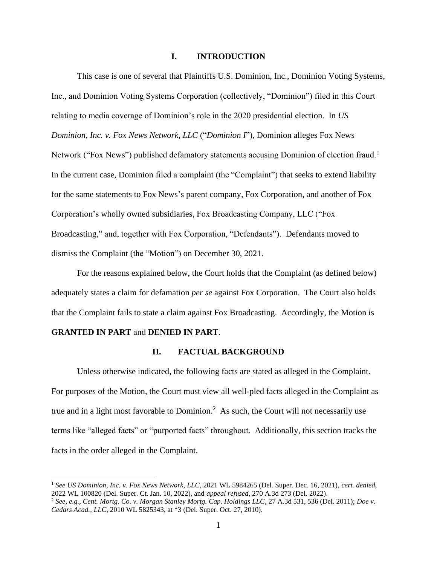## **I. INTRODUCTION**

This case is one of several that Plaintiffs U.S. Dominion, Inc., Dominion Voting Systems, Inc., and Dominion Voting Systems Corporation (collectively, "Dominion") filed in this Court relating to media coverage of Dominion's role in the 2020 presidential election. In *US Dominion, Inc. v. Fox News Network, LLC* ("*Dominion I*"), Dominion alleges Fox News Network ("Fox News") published defamatory statements accusing Dominion of election fraud.<sup>1</sup> In the current case, Dominion filed a complaint (the "Complaint") that seeks to extend liability for the same statements to Fox News's parent company, Fox Corporation, and another of Fox Corporation's wholly owned subsidiaries, Fox Broadcasting Company, LLC ("Fox Broadcasting," and, together with Fox Corporation, "Defendants"). Defendants moved to dismiss the Complaint (the "Motion") on December 30, 2021.

For the reasons explained below, the Court holds that the Complaint (as defined below) adequately states a claim for defamation *per se* against Fox Corporation. The Court also holds that the Complaint fails to state a claim against Fox Broadcasting. Accordingly, the Motion is

## **GRANTED IN PART** and **DENIED IN PART**.

#### **II. FACTUAL BACKGROUND**

Unless otherwise indicated, the following facts are stated as alleged in the Complaint. For purposes of the Motion, the Court must view all well-pled facts alleged in the Complaint as true and in a light most favorable to Dominion.<sup>2</sup> As such, the Court will not necessarily use terms like "alleged facts" or "purported facts" throughout. Additionally, this section tracks the facts in the order alleged in the Complaint.

<sup>1</sup> *See US Dominion, Inc. v. Fox News Network, LLC*, 2021 WL 5984265 (Del. Super. Dec. 16, 2021), *cert. denied*, 2022 WL 100820 (Del. Super. Ct. Jan. 10, 2022), and *appeal refused*, 270 A.3d 273 (Del. 2022).

<sup>2</sup> *See, e.g., Cent. Mortg. Co. v. Morgan Stanley Mortg. Cap. Holdings LLC*, 27 A.3d 531, 536 (Del. 2011); *Doe v. Cedars Acad., LLC*, 2010 WL 5825343, at \*3 (Del. Super. Oct. 27, 2010).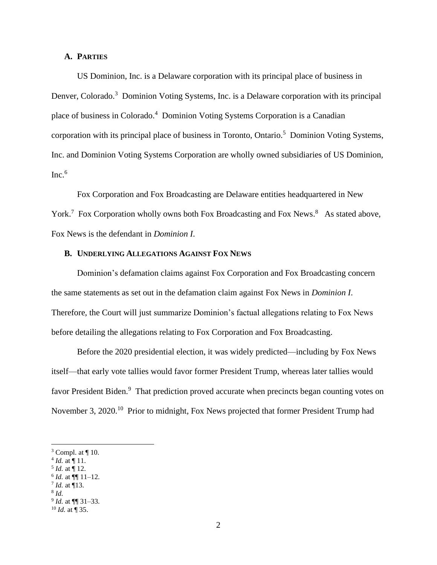### **A. PARTIES**

US Dominion, Inc. is a Delaware corporation with its principal place of business in Denver, Colorado.<sup>3</sup> Dominion Voting Systems, Inc. is a Delaware corporation with its principal place of business in Colorado.<sup>4</sup> Dominion Voting Systems Corporation is a Canadian corporation with its principal place of business in Toronto, Ontario.<sup>5</sup> Dominion Voting Systems, Inc. and Dominion Voting Systems Corporation are wholly owned subsidiaries of US Dominion,  $Inc.<sup>6</sup>$ 

Fox Corporation and Fox Broadcasting are Delaware entities headquartered in New York.<sup>7</sup> Fox Corporation wholly owns both Fox Broadcasting and Fox News.<sup>8</sup> As stated above, Fox News is the defendant in *Dominion I*.

## **B. UNDERLYING ALLEGATIONS AGAINST FOX NEWS**

Dominion's defamation claims against Fox Corporation and Fox Broadcasting concern the same statements as set out in the defamation claim against Fox News in *Dominion I*. Therefore, the Court will just summarize Dominion's factual allegations relating to Fox News before detailing the allegations relating to Fox Corporation and Fox Broadcasting.

Before the 2020 presidential election, it was widely predicted—including by Fox News itself—that early vote tallies would favor former President Trump, whereas later tallies would favor President Biden.<sup>9</sup> That prediction proved accurate when precincts began counting votes on November 3, 2020.<sup>10</sup> Prior to midnight, Fox News projected that former President Trump had

- $^{5}$  *Id.* at  $\P$  12.
- $6$  *Id.* at  $\P\P$  11–12.
- 7 *Id.* at ¶13.

 $3$  Compl. at  $\P$  10.

 $^{4}$  *Id.* at  $\P$  11.

<sup>8</sup> *Id.*

<sup>9</sup> *Id.* at ¶¶ 31–33.  $^{10}$  *Id.* at  $\overline{9}$  35.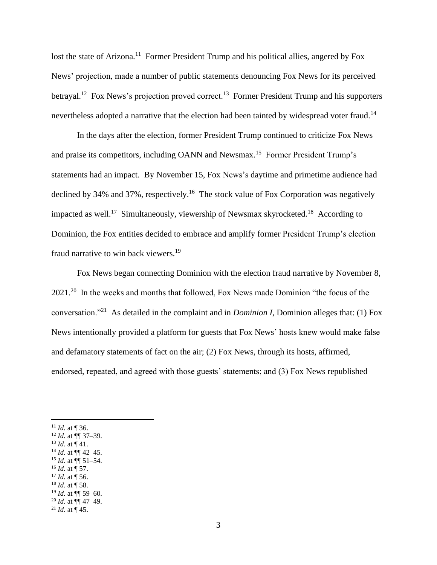lost the state of Arizona.<sup>11</sup> Former President Trump and his political allies, angered by Fox News' projection, made a number of public statements denouncing Fox News for its perceived betrayal.<sup>12</sup> Fox News's projection proved correct.<sup>13</sup> Former President Trump and his supporters nevertheless adopted a narrative that the election had been tainted by widespread voter fraud.<sup>14</sup>

In the days after the election, former President Trump continued to criticize Fox News and praise its competitors, including OANN and Newsmax.<sup>15</sup> Former President Trump's statements had an impact. By November 15, Fox News's daytime and primetime audience had declined by 34% and 37%, respectively.<sup>16</sup> The stock value of Fox Corporation was negatively impacted as well.<sup>17</sup> Simultaneously, viewership of Newsmax skyrocketed.<sup>18</sup> According to Dominion, the Fox entities decided to embrace and amplify former President Trump's election fraud narrative to win back viewers.<sup>19</sup>

Fox News began connecting Dominion with the election fraud narrative by November 8, 2021.<sup>20</sup> In the weeks and months that followed, Fox News made Dominion "the focus of the conversation."<sup>21</sup> As detailed in the complaint and in *Dominion I*, Dominion alleges that: (1) Fox News intentionally provided a platform for guests that Fox News' hosts knew would make false and defamatory statements of fact on the air; (2) Fox News, through its hosts, affirmed, endorsed, repeated, and agreed with those guests' statements; and (3) Fox News republished

- <sup>13</sup> *Id.* at  $\P$ <sup>4</sup>1.
- <sup>14</sup> *Id.* at  $\P\P$  42–45.  $^{15}$  *Id.* at  $\overline{}}$  51–54.
- $^{16}$  *Id.* at  $\frac{1}{3}$  57.
- $17$  *Id.* at  $\overline{})$  56.
- $^{18}$  *Id.* at  $\overline{9}$  58.
- $^{19}$  *Id.* at  $\dot{$ } 59–60.
- <sup>20</sup> *Id.* at  $\P$  47–49.

<sup>&</sup>lt;sup>11</sup> *Id.* at ¶ 36.

 $12$  *Id.* at  $\P\P$  37–39.

<sup>&</sup>lt;sup>21</sup> *Id.* at  $\frac{1}{4}$  45.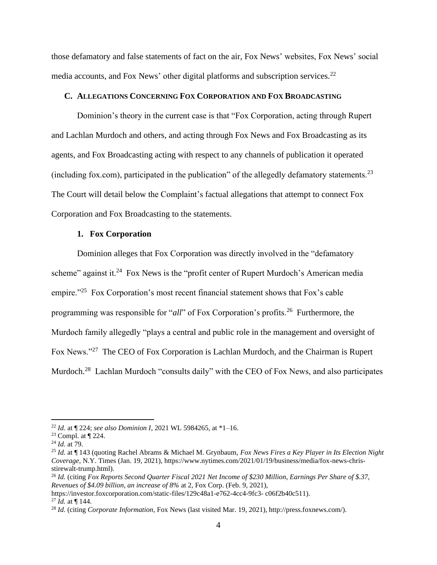those defamatory and false statements of fact on the air, Fox News' websites, Fox News' social media accounts, and Fox News' other digital platforms and subscription services.<sup>22</sup>

#### **C. ALLEGATIONS CONCERNING FOX CORPORATION AND FOX BROADCASTING**

Dominion's theory in the current case is that "Fox Corporation, acting through Rupert and Lachlan Murdoch and others, and acting through Fox News and Fox Broadcasting as its agents, and Fox Broadcasting acting with respect to any channels of publication it operated (including fox.com), participated in the publication" of the allegedly defamatory statements.<sup>23</sup> The Court will detail below the Complaint's factual allegations that attempt to connect Fox Corporation and Fox Broadcasting to the statements.

#### **1. Fox Corporation**

Dominion alleges that Fox Corporation was directly involved in the "defamatory scheme" against it. $24$  Fox News is the "profit center of Rupert Murdoch's American media empire."<sup>25</sup> Fox Corporation's most recent financial statement shows that Fox's cable programming was responsible for "*all*" of Fox Corporation's profits.<sup>26</sup> Furthermore, the Murdoch family allegedly "plays a central and public role in the management and oversight of Fox News."<sup>27</sup> The CEO of Fox Corporation is Lachlan Murdoch, and the Chairman is Rupert Murdoch.<sup>28</sup> Lachlan Murdoch "consults daily" with the CEO of Fox News, and also participates

<sup>22</sup> *Id.* at ¶ 224; *see also Dominion I*, 2021 WL 5984265, at \*1–16.

 $23$  Compl. at  $\P$  224.

<sup>24</sup> *Id.* at 79.

<sup>25</sup> *Id.* at ¶ 143 (quoting Rachel Abrams & Michael M. Grynbaum, *Fox News Fires a Key Player in Its Election Night Coverage*, N.Y. Times (Jan. 19, 2021), https://www.nytimes.com/2021/01/19/business/media/fox-news-chrisstirewalt-trump.html).

<sup>26</sup> *Id.* (citing *Fox Reports Second Quarter Fiscal 2021 Net Income of \$230 Million, Earnings Per Share of \$.37, Revenues of \$4.09 billion, an increase of 8%* at 2, Fox Corp. (Feb. 9, 2021),

https://investor.foxcorporation.com/static-files/129c48a1-e762-4cc4-9fc3- c06f2b40c511).

<sup>27</sup> *Id.* at ¶ 144.

<sup>28</sup> *Id.* (citing *Corporate Information*, Fox News (last visited Mar. 19, 2021), http://press.foxnews.com/).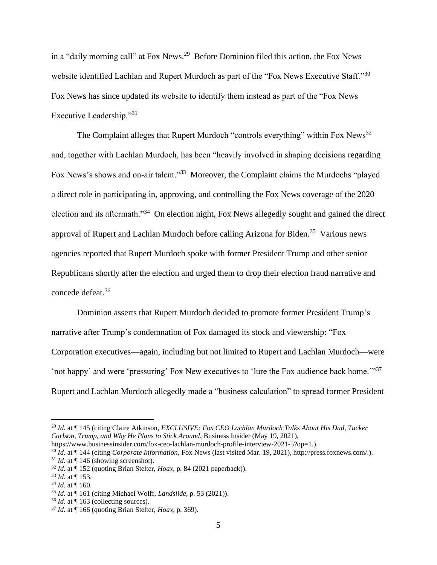in a "daily morning call" at Fox News.<sup>29</sup> Before Dominion filed this action, the Fox News website identified Lachlan and Rupert Murdoch as part of the "Fox News Executive Staff."<sup>30</sup> Fox News has since updated its website to identify them instead as part of the "Fox News Executive Leadership."<sup>31</sup>

The Complaint alleges that Rupert Murdoch "controls everything" within Fox News<sup>32</sup> and, together with Lachlan Murdoch, has been "heavily involved in shaping decisions regarding Fox News's shows and on-air talent."<sup>33</sup> Moreover, the Complaint claims the Murdochs "played a direct role in participating in, approving, and controlling the Fox News coverage of the 2020 election and its aftermath."<sup>34</sup> On election night, Fox News allegedly sought and gained the direct approval of Rupert and Lachlan Murdoch before calling Arizona for Biden.<sup>35</sup> Various news agencies reported that Rupert Murdoch spoke with former President Trump and other senior Republicans shortly after the election and urged them to drop their election fraud narrative and concede defeat.<sup>36</sup>

Dominion asserts that Rupert Murdoch decided to promote former President Trump's narrative after Trump's condemnation of Fox damaged its stock and viewership: "Fox Corporation executives—again, including but not limited to Rupert and Lachlan Murdoch—were 'not happy' and were 'pressuring' Fox New executives to 'lure the Fox audience back home.'"<sup>37</sup> Rupert and Lachlan Murdoch allegedly made a "business calculation" to spread former President

<sup>29</sup> *Id.* at ¶ 145 (citing Claire Atkinson, *EXCLUSIVE: Fox CEO Lachlan Murdoch Talks About His Dad, Tucker Carlson, Trump, and Why He Plans to Stick Around*, Business Insider (May 19, 2021),

https://www.businessinsider.com/fox-ceo-lachlan-murdoch-profile-interview-2021-5?op=1.).

<sup>30</sup> *Id.* at ¶ 144 (citing *Corporate Information*, Fox News (last visited Mar. 19, 2021), http://press.foxnews.com/.).  $31$  *Id.* at  $\P$  146 (showing screenshot).

<sup>32</sup> *Id.* at ¶ 152 (quoting Brian Stelter, *Hoax*, p. 84 (2021 paperback)).

<sup>33</sup> *Id.* at ¶ 153.

 $34$  *Id.* at  $\overline{9}$  160.

<sup>35</sup> *Id.* at ¶ 161 (citing Michael Wolff, *Landslide*, p. 53 (2021)).

<sup>36</sup> *Id.* at ¶ 163 (collecting sources).

<sup>37</sup> *Id.* at ¶ 166 (quoting Brian Stelter, *Hoax*, p. 369).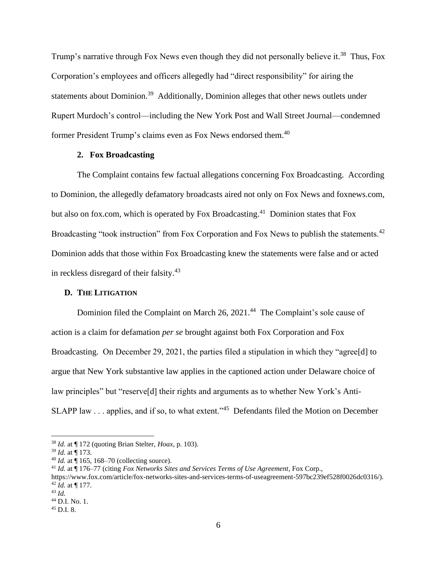Trump's narrative through Fox News even though they did not personally believe it.<sup>38</sup> Thus, Fox Corporation's employees and officers allegedly had "direct responsibility" for airing the statements about Dominion.<sup>39</sup> Additionally, Dominion alleges that other news outlets under Rupert Murdoch's control—including the New York Post and Wall Street Journal—condemned former President Trump's claims even as Fox News endorsed them.<sup>40</sup>

## **2. Fox Broadcasting**

The Complaint contains few factual allegations concerning Fox Broadcasting. According to Dominion, the allegedly defamatory broadcasts aired not only on Fox News and foxnews.com, but also on fox.com, which is operated by Fox Broadcasting.<sup>41</sup> Dominion states that Fox Broadcasting "took instruction" from Fox Corporation and Fox News to publish the statements.<sup>42</sup> Dominion adds that those within Fox Broadcasting knew the statements were false and or acted in reckless disregard of their falsity. 43

#### **D. THE LITIGATION**

Dominion filed the Complaint on March 26, 2021.<sup>44</sup> The Complaint's sole cause of action is a claim for defamation *per se* brought against both Fox Corporation and Fox Broadcasting. On December 29, 2021, the parties filed a stipulation in which they "agree[d] to argue that New York substantive law applies in the captioned action under Delaware choice of law principles" but "reserve[d] their rights and arguments as to whether New York's Anti-SLAPP law . . . applies, and if so, to what extent."<sup>45</sup> Defendants filed the Motion on December

<sup>38</sup> *Id.* at ¶ 172 (quoting Brian Stelter, *Hoax*, p. 103).

<sup>39</sup> *Id.* at ¶ 173.

 $^{40}$  *Id.* at  $\frac{1}{9}$  165, 168–70 (collecting source).

<sup>41</sup> *Id.* at ¶ 176–77 (citing *Fox Networks Sites and Services Terms of Use Agreement*, Fox Corp.,

https://www.fox.com/article/fox-networks-sites-and-services-terms-of-useagreement-597bc239ef528f0026dc0316/). <sup>42</sup> *Id.* at ¶ 177.

<sup>43</sup> *Id.*

<sup>44</sup> D.I. No. 1.

<sup>45</sup> D.I. 8.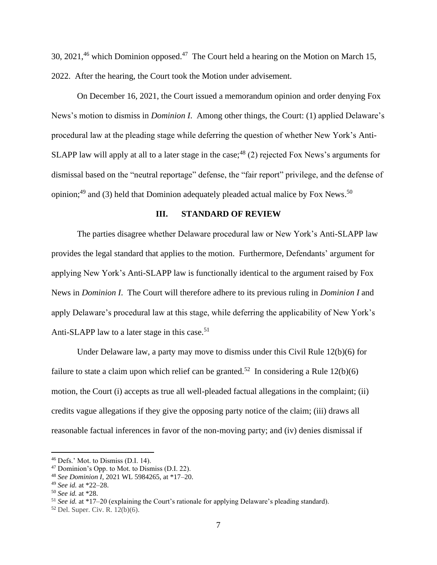30, 2021,<sup>46</sup> which Dominion opposed.<sup>47</sup> The Court held a hearing on the Motion on March 15, 2022. After the hearing, the Court took the Motion under advisement.

On December 16, 2021, the Court issued a memorandum opinion and order denying Fox News's motion to dismiss in *Dominion I*. Among other things, the Court: (1) applied Delaware's procedural law at the pleading stage while deferring the question of whether New York's Anti-SLAPP law will apply at all to a later stage in the case;  $48(2)$  rejected Fox News's arguments for dismissal based on the "neutral reportage" defense, the "fair report" privilege, and the defense of opinion;<sup>49</sup> and (3) held that Dominion adequately pleaded actual malice by Fox News.<sup>50</sup>

# **III. STANDARD OF REVIEW**

The parties disagree whether Delaware procedural law or New York's Anti-SLAPP law provides the legal standard that applies to the motion. Furthermore, Defendants' argument for applying New York's Anti-SLAPP law is functionally identical to the argument raised by Fox News in *Dominion I*. The Court will therefore adhere to its previous ruling in *Dominion I* and apply Delaware's procedural law at this stage, while deferring the applicability of New York's Anti-SLAPP law to a later stage in this case.<sup>51</sup>

Under Delaware law, a party may move to dismiss under this Civil Rule 12(b)(6) for failure to state a claim upon which relief can be granted.<sup>52</sup> In considering a Rule  $12(b)(6)$ motion, the Court (i) accepts as true all well-pleaded factual allegations in the complaint; (ii) credits vague allegations if they give the opposing party notice of the claim; (iii) draws all reasonable factual inferences in favor of the non-moving party; and (iv) denies dismissal if

<sup>46</sup> Defs.' Mot. to Dismiss (D.I. 14).

<sup>47</sup> Dominion's Opp. to Mot. to Dismiss (D.I. 22).

<sup>48</sup> *See Dominion I*, 2021 WL 5984265, at \*17–20.

<sup>49</sup> *See id.* at \*22–28.

<sup>50</sup> *See id.* at \*28.

<sup>51</sup> *See id.* at \*17–20 (explaining the Court's rationale for applying Delaware's pleading standard).

<sup>52</sup> Del. Super. Civ. R. 12(b)(6).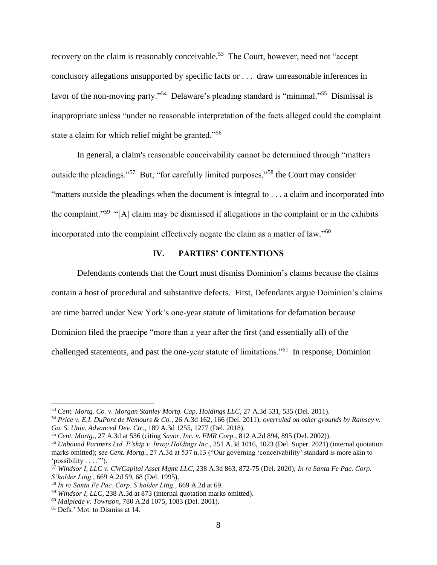recovery on the claim is reasonably conceivable.<sup>53</sup> The Court, however, need not "accept" conclusory allegations unsupported by specific facts or . . . draw unreasonable inferences in favor of the non-moving party."<sup>54</sup> Delaware's pleading standard is "minimal."<sup>55</sup> Dismissal is inappropriate unless "under no reasonable interpretation of the facts alleged could the complaint state a claim for which relief might be granted."<sup>56</sup>

In general, a claim's reasonable conceivability cannot be determined through "matters outside the pleadings."<sup>57</sup> But, "for carefully limited purposes,"<sup>58</sup> the Court may consider "matters outside the pleadings when the document is integral to . . . a claim and incorporated into the complaint."<sup>59</sup> "[A] claim may be dismissed if allegations in the complaint or in the exhibits incorporated into the complaint effectively negate the claim as a matter of law."<sup>60</sup>

# **IV. PARTIES' CONTENTIONS**

Defendants contends that the Court must dismiss Dominion's claims because the claims contain a host of procedural and substantive defects. First, Defendants argue Dominion's claims are time barred under New York's one-year statute of limitations for defamation because Dominion filed the praecipe "more than a year after the first (and essentially all) of the challenged statements, and past the one-year statute of limitations."<sup>61</sup> In response, Dominion

<sup>53</sup> *Cent. Mortg. Co. v. Morgan Stanley Mortg. Cap. Holdings LLC*, 27 A.3d 531, 535 (Del. 2011).

<sup>54</sup> *Price v. E.I. DuPont de Nemours & Co.*, 26 A.3d 162, 166 (Del. 2011), *overruled on other grounds by Ramsey v. Ga. S. Univ. Advanced Dev. Ctr.*, 189 A.3d 1255, 1277 (Del. 2018).

<sup>55</sup> *Cent. Mortg.*, 27 A.3d at 536 (citing *Savor, Inc. v. FMR Corp.*, 812 A.2d 894, 895 (Del. 2002)).

<sup>56</sup> *Unbound Partners Ltd. P'ship v. Invoy Holdings Inc.*, 251 A.3d 1016, 1023 (Del. Super. 2021) (internal quotation marks omitted); *see Cent. Mortg.*, 27 A.3d at 537 n.13 ("Our governing 'conceivability' standard is more akin to 'possibility . . . .'").

<sup>57</sup> *Windsor I, LLC v. CWCapital Asset Mgmt LLC*, 238 A.3d 863, 872-75 (Del. 2020); *In re Santa Fe Pac. Corp. S'holder Litig.*, 669 A.2d 59, 68 (Del. 1995).

<sup>58</sup> *In re Santa Fe Pac. Corp. S'holder Litig.*, 669 A.2d at 69.

<sup>59</sup> *Windsor I, LLC*, 238 A.3d at 873 (internal quotation marks omitted).

<sup>60</sup> *Malpiede v. Townson*, 780 A.2d 1075, 1083 (Del. 2001).

<sup>61</sup> Defs.' Mot. to Dismiss at 14.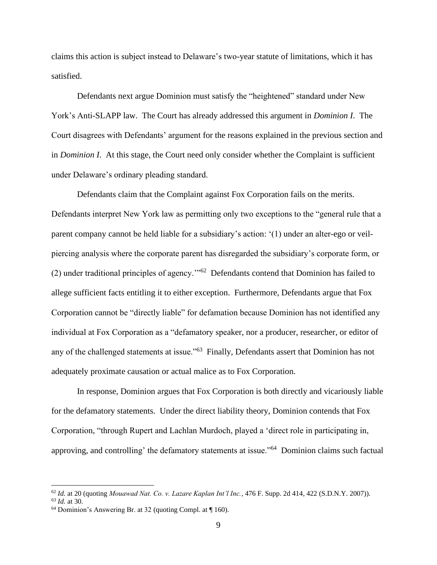claims this action is subject instead to Delaware's two-year statute of limitations, which it has satisfied.

Defendants next argue Dominion must satisfy the "heightened" standard under New York's Anti-SLAPP law. The Court has already addressed this argument in *Dominion I*. The Court disagrees with Defendants' argument for the reasons explained in the previous section and in *Dominion I*. At this stage, the Court need only consider whether the Complaint is sufficient under Delaware's ordinary pleading standard.

Defendants claim that the Complaint against Fox Corporation fails on the merits. Defendants interpret New York law as permitting only two exceptions to the "general rule that a parent company cannot be held liable for a subsidiary's action: '(1) under an alter-ego or veilpiercing analysis where the corporate parent has disregarded the subsidiary's corporate form, or (2) under traditional principles of agency."<sup>62</sup> Defendants contend that Dominion has failed to allege sufficient facts entitling it to either exception. Furthermore, Defendants argue that Fox Corporation cannot be "directly liable" for defamation because Dominion has not identified any individual at Fox Corporation as a "defamatory speaker, nor a producer, researcher, or editor of any of the challenged statements at issue."<sup>63</sup> Finally, Defendants assert that Dominion has not adequately proximate causation or actual malice as to Fox Corporation.

In response, Dominion argues that Fox Corporation is both directly and vicariously liable for the defamatory statements. Under the direct liability theory, Dominion contends that Fox Corporation, "through Rupert and Lachlan Murdoch, played a 'direct role in participating in, approving, and controlling' the defamatory statements at issue."<sup>64</sup> Dominion claims such factual

<sup>62</sup> *Id.* at 20 (quoting *Mouawad Nat. Co. v. Lazare Kaplan Int'l Inc.*, 476 F. Supp. 2d 414, 422 (S.D.N.Y. 2007)).

<sup>63</sup> *Id.* at 30.

<sup>64</sup> Dominion's Answering Br. at 32 (quoting Compl. at ¶ 160).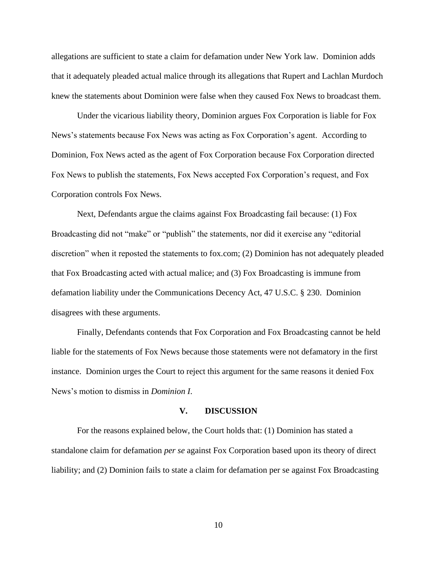allegations are sufficient to state a claim for defamation under New York law. Dominion adds that it adequately pleaded actual malice through its allegations that Rupert and Lachlan Murdoch knew the statements about Dominion were false when they caused Fox News to broadcast them.

Under the vicarious liability theory, Dominion argues Fox Corporation is liable for Fox News's statements because Fox News was acting as Fox Corporation's agent. According to Dominion, Fox News acted as the agent of Fox Corporation because Fox Corporation directed Fox News to publish the statements, Fox News accepted Fox Corporation's request, and Fox Corporation controls Fox News.

Next, Defendants argue the claims against Fox Broadcasting fail because: (1) Fox Broadcasting did not "make" or "publish" the statements, nor did it exercise any "editorial discretion" when it reposted the statements to fox.com; (2) Dominion has not adequately pleaded that Fox Broadcasting acted with actual malice; and (3) Fox Broadcasting is immune from defamation liability under the Communications Decency Act, 47 U.S.C. § 230. Dominion disagrees with these arguments.

Finally, Defendants contends that Fox Corporation and Fox Broadcasting cannot be held liable for the statements of Fox News because those statements were not defamatory in the first instance. Dominion urges the Court to reject this argument for the same reasons it denied Fox News's motion to dismiss in *Dominion I*.

#### **V. DISCUSSION**

For the reasons explained below, the Court holds that: (1) Dominion has stated a standalone claim for defamation *per se* against Fox Corporation based upon its theory of direct liability; and (2) Dominion fails to state a claim for defamation per se against Fox Broadcasting

10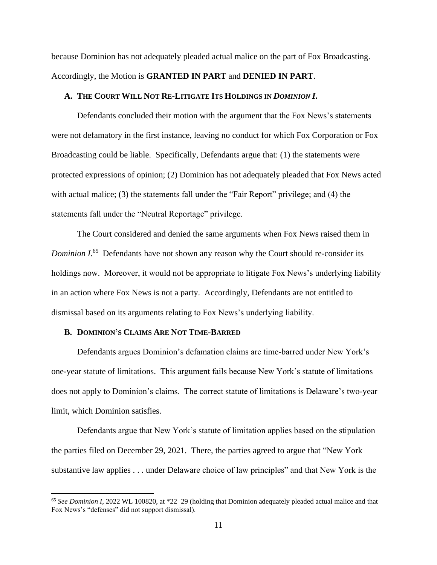because Dominion has not adequately pleaded actual malice on the part of Fox Broadcasting. Accordingly, the Motion is **GRANTED IN PART** and **DENIED IN PART**.

#### **A. THE COURT WILL NOT RE-LITIGATE ITS HOLDINGS IN** *DOMINION I***.**

Defendants concluded their motion with the argument that the Fox News's statements were not defamatory in the first instance, leaving no conduct for which Fox Corporation or Fox Broadcasting could be liable. Specifically, Defendants argue that: (1) the statements were protected expressions of opinion; (2) Dominion has not adequately pleaded that Fox News acted with actual malice; (3) the statements fall under the "Fair Report" privilege; and (4) the statements fall under the "Neutral Reportage" privilege.

The Court considered and denied the same arguments when Fox News raised them in Dominion I.<sup>65</sup> Defendants have not shown any reason why the Court should re-consider its holdings now. Moreover, it would not be appropriate to litigate Fox News's underlying liability in an action where Fox News is not a party. Accordingly, Defendants are not entitled to dismissal based on its arguments relating to Fox News's underlying liability.

#### **B. DOMINION'S CLAIMS ARE NOT TIME-BARRED**

Defendants argues Dominion's defamation claims are time-barred under New York's one-year statute of limitations. This argument fails because New York's statute of limitations does not apply to Dominion's claims. The correct statute of limitations is Delaware's two-year limit, which Dominion satisfies.

Defendants argue that New York's statute of limitation applies based on the stipulation the parties filed on December 29, 2021. There, the parties agreed to argue that "New York substantive law applies . . . under Delaware choice of law principles" and that New York is the

<sup>65</sup> *See Dominion I*, 2022 WL 100820, at \*22–29 (holding that Dominion adequately pleaded actual malice and that Fox News's "defenses" did not support dismissal).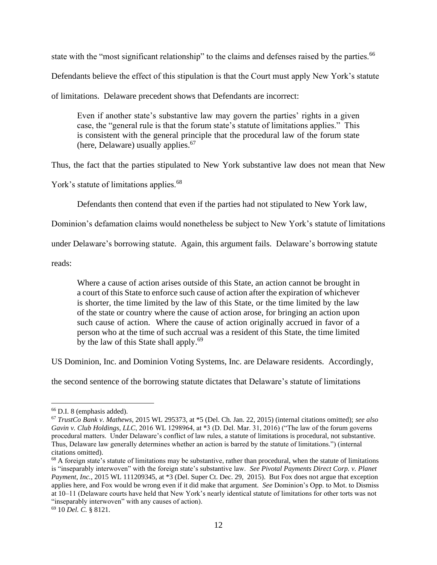state with the "most significant relationship" to the claims and defenses raised by the parties.<sup>66</sup>

Defendants believe the effect of this stipulation is that the Court must apply New York's statute

of limitations. Delaware precedent shows that Defendants are incorrect:

Even if another state's substantive law may govern the parties' rights in a given case, the "general rule is that the forum state's statute of limitations applies." This is consistent with the general principle that the procedural law of the forum state (here, Delaware) usually applies.<sup>67</sup>

Thus, the fact that the parties stipulated to New York substantive law does not mean that New

York's statute of limitations applies.<sup>68</sup>

Defendants then contend that even if the parties had not stipulated to New York law,

Dominion's defamation claims would nonetheless be subject to New York's statute of limitations

under Delaware's borrowing statute. Again, this argument fails. Delaware's borrowing statute

reads:

Where a cause of action arises outside of this State, an action cannot be brought in a court of this State to enforce such cause of action after the expiration of whichever is shorter, the time limited by the law of this State, or the time limited by the law of the state or country where the cause of action arose, for bringing an action upon such cause of action. Where the cause of action originally accrued in favor of a person who at the time of such accrual was a resident of this State, the time limited by the law of this State shall apply.<sup>69</sup>

US Dominion, Inc. and Dominion Voting Systems, Inc. are Delaware residents. Accordingly,

the second sentence of the borrowing statute dictates that Delaware's statute of limitations

<sup>66</sup> D.I. 8 (emphasis added).

<sup>67</sup> *TrustCo Bank v. Mathews*, 2015 WL 295373, at \*5 (Del. Ch. Jan. 22, 2015) (internal citations omitted); *see also Gavin v. Club Holdings, LLC*, 2016 WL 1298964, at \*3 (D. Del. Mar. 31, 2016) ("The law of the forum governs procedural matters. Under Delaware's conflict of law rules, a statute of limitations is procedural, not substantive. Thus, Delaware law generally determines whether an action is barred by the statute of limitations.") (internal citations omitted).

 $68$  A foreign state's statute of limitations may be substantive, rather than procedural, when the statute of limitations is "inseparably interwoven" with the foreign state's substantive law. *See Pivotal Payments Direct Corp. v. Planet Payment, Inc.*, 2015 WL 111209345, at \*3 (Del. Super Ct. Dec. 29, 2015). But Fox does not argue that exception applies here, and Fox would be wrong even if it did make that argument. *See* Dominion's Opp. to Mot. to Dismiss at 10–11 (Delaware courts have held that New York's nearly identical statute of limitations for other torts was not "inseparably interwoven" with any causes of action).

<sup>69</sup> 10 *Del. C.* § 8121.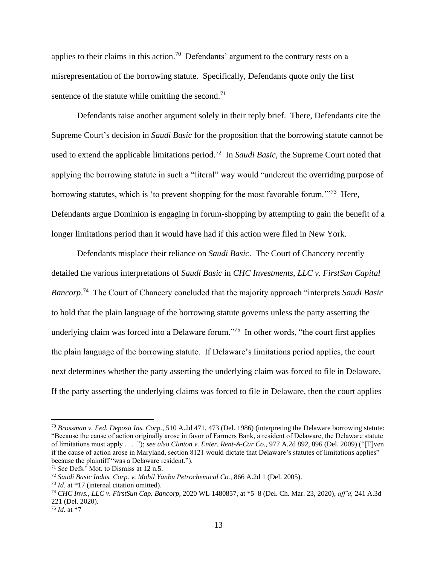applies to their claims in this action.<sup>70</sup> Defendants' argument to the contrary rests on a misrepresentation of the borrowing statute. Specifically, Defendants quote only the first sentence of the statute while omitting the second.<sup>71</sup>

Defendants raise another argument solely in their reply brief. There, Defendants cite the Supreme Court's decision in *Saudi Basic* for the proposition that the borrowing statute cannot be used to extend the applicable limitations period.<sup>72</sup> In *Saudi Basic*, the Supreme Court noted that applying the borrowing statute in such a "literal" way would "undercut the overriding purpose of borrowing statutes, which is 'to prevent shopping for the most favorable forum.'"<sup>73</sup> Here, Defendants argue Dominion is engaging in forum-shopping by attempting to gain the benefit of a longer limitations period than it would have had if this action were filed in New York.

Defendants misplace their reliance on *Saudi Basic*. The Court of Chancery recently detailed the various interpretations of *Saudi Basic* in *CHC Investments, LLC v. FirstSun Capital Bancorp*. 74 The Court of Chancery concluded that the majority approach "interprets *Saudi Basic* to hold that the plain language of the borrowing statute governs unless the party asserting the underlying claim was forced into a Delaware forum."<sup>75</sup> In other words, "the court first applies the plain language of the borrowing statute. If Delaware's limitations period applies, the court next determines whether the party asserting the underlying claim was forced to file in Delaware. If the party asserting the underlying claims was forced to file in Delaware, then the court applies

<sup>70</sup> *Brossman v. Fed. Deposit Ins. Corp.*, 510 A.2d 471, 473 (Del. 1986) (interpreting the Delaware borrowing statute: "Because the cause of action originally arose in favor of Farmers Bank, a resident of Delaware, the Delaware statute of limitations must apply . . . ."); *see also Clinton v. Enter. Rent-A-Car Co.*, 977 A.2d 892, 896 (Del. 2009) ("[E]ven if the cause of action arose in Maryland, section 8121 would dictate that Delaware's statutes of limitations applies" because the plaintiff "was a Delaware resident.").

<sup>71</sup> *See* Defs.' Mot. to Dismiss at 12 n.5.

<sup>72</sup> *Saudi Basic Indus. Corp. v. Mobil Yanbu Petrochemical Co.*, 866 A.2d 1 (Del. 2005).

<sup>73</sup> *Id.* at \*17 (internal citation omitted).

<sup>74</sup> *CHC Invs., LLC v. FirstSun Cap. Bancorp*, 2020 WL 1480857, at \*5–8 (Del. Ch. Mar. 23, 2020), *aff'd,* 241 A.3d 221 (Del. 2020).

<sup>75</sup> *Id.* at \*7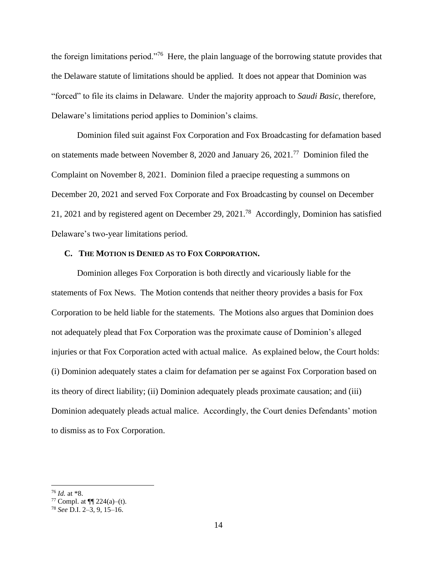the foreign limitations period."<sup>76</sup> Here, the plain language of the borrowing statute provides that the Delaware statute of limitations should be applied. It does not appear that Dominion was "forced" to file its claims in Delaware. Under the majority approach to *Saudi Basic*, therefore, Delaware's limitations period applies to Dominion's claims.

Dominion filed suit against Fox Corporation and Fox Broadcasting for defamation based on statements made between November 8, 2020 and January 26, 2021.<sup>77</sup> Dominion filed the Complaint on November 8, 2021. Dominion filed a praecipe requesting a summons on December 20, 2021 and served Fox Corporate and Fox Broadcasting by counsel on December 21, 2021 and by registered agent on December 29, 2021.<sup>78</sup> Accordingly, Dominion has satisfied Delaware's two-year limitations period.

### **C. THE MOTION IS DENIED AS TO FOX CORPORATION.**

Dominion alleges Fox Corporation is both directly and vicariously liable for the statements of Fox News. The Motion contends that neither theory provides a basis for Fox Corporation to be held liable for the statements. The Motions also argues that Dominion does not adequately plead that Fox Corporation was the proximate cause of Dominion's alleged injuries or that Fox Corporation acted with actual malice. As explained below, the Court holds: (i) Dominion adequately states a claim for defamation per se against Fox Corporation based on its theory of direct liability; (ii) Dominion adequately pleads proximate causation; and (iii) Dominion adequately pleads actual malice. Accordingly, the Court denies Defendants' motion to dismiss as to Fox Corporation.

<sup>76</sup> *Id.* at \*8.

<sup>77</sup> Compl. at  $\P\P$  224(a)–(t).

<sup>78</sup> *See* D.I. 2–3, 9, 15–16.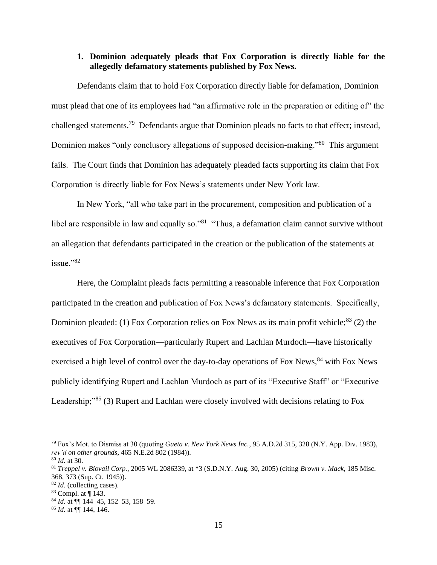# **1. Dominion adequately pleads that Fox Corporation is directly liable for the allegedly defamatory statements published by Fox News.**

Defendants claim that to hold Fox Corporation directly liable for defamation, Dominion must plead that one of its employees had "an affirmative role in the preparation or editing of" the challenged statements.<sup>79</sup> Defendants argue that Dominion pleads no facts to that effect; instead, Dominion makes "only conclusory allegations of supposed decision-making."<sup>80</sup> This argument fails. The Court finds that Dominion has adequately pleaded facts supporting its claim that Fox Corporation is directly liable for Fox News's statements under New York law.

In New York, "all who take part in the procurement, composition and publication of a libel are responsible in law and equally so."<sup>81</sup> "Thus, a defamation claim cannot survive without an allegation that defendants participated in the creation or the publication of the statements at issue."<sup>82</sup>

Here, the Complaint pleads facts permitting a reasonable inference that Fox Corporation participated in the creation and publication of Fox News's defamatory statements. Specifically, Dominion pleaded: (1) Fox Corporation relies on Fox News as its main profit vehicle;  $83$  (2) the executives of Fox Corporation—particularly Rupert and Lachlan Murdoch—have historically exercised a high level of control over the day-to-day operations of Fox News,<sup>84</sup> with Fox News publicly identifying Rupert and Lachlan Murdoch as part of its "Executive Staff" or "Executive Leadership;"<sup>85</sup> (3) Rupert and Lachlan were closely involved with decisions relating to Fox

<sup>79</sup> Fox's Mot. to Dismiss at 30 (quoting *Gaeta v. New York News Inc.*, 95 A.D.2d 315, 328 (N.Y. App. Div. 1983), *rev'd on other grounds*, 465 N.E.2d 802 (1984)).

<sup>80</sup> *Id.* at 30.

<sup>81</sup> *Treppel v. Biovail Corp.*, 2005 WL 2086339, at \*3 (S.D.N.Y. Aug. 30, 2005) (citing *Brown v. Mack*, 185 Misc. 368, 373 (Sup. Ct. 1945)).

<sup>82</sup> *Id.* (collecting cases).

<sup>83</sup> Compl. at ¶ 143.

<sup>84</sup> *Id.* at ¶¶ 144–45, 152–53, 158–59.

<sup>85</sup> *Id.* at ¶¶ 144, 146.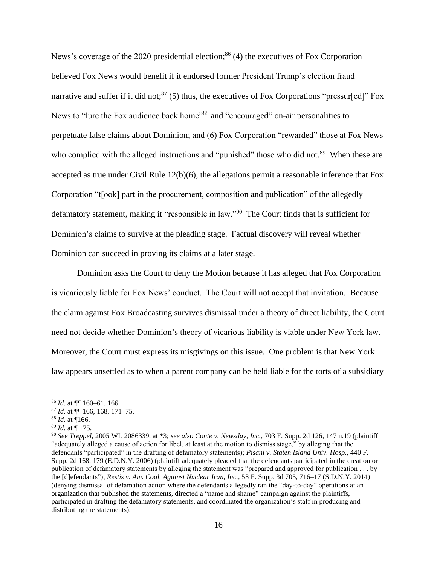News's coverage of the 2020 presidential election;<sup>86</sup> (4) the executives of Fox Corporation believed Fox News would benefit if it endorsed former President Trump's election fraud narrative and suffer if it did not;<sup>87</sup> (5) thus, the executives of Fox Corporations "pressur[ed]" Fox News to "lure the Fox audience back home"<sup>88</sup> and "encouraged" on-air personalities to perpetuate false claims about Dominion; and (6) Fox Corporation "rewarded" those at Fox News who complied with the alleged instructions and "punished" those who did not.<sup>89</sup> When these are accepted as true under Civil Rule 12(b)(6), the allegations permit a reasonable inference that Fox Corporation "t[ook] part in the procurement, composition and publication" of the allegedly defamatory statement, making it "responsible in law."<sup>90</sup> The Court finds that is sufficient for Dominion's claims to survive at the pleading stage. Factual discovery will reveal whether Dominion can succeed in proving its claims at a later stage.

Dominion asks the Court to deny the Motion because it has alleged that Fox Corporation is vicariously liable for Fox News' conduct. The Court will not accept that invitation. Because the claim against Fox Broadcasting survives dismissal under a theory of direct liability, the Court need not decide whether Dominion's theory of vicarious liability is viable under New York law. Moreover, the Court must express its misgivings on this issue. One problem is that New York law appears unsettled as to when a parent company can be held liable for the torts of a subsidiary

<sup>86</sup> *Id.* at ¶¶ 160–61, 166.

<sup>87</sup> *Id.* at ¶¶ 166, 168, 171–75.

<sup>88</sup> *Id.* at ¶166.

<sup>89</sup> *Id.* at ¶ 175.

<sup>90</sup> *See Treppel*, 2005 WL 2086339, at \*3; *see also Conte v. Newsday, Inc.*, 703 F. Supp. 2d 126, 147 n.19 (plaintiff "adequately alleged a cause of action for libel, at least at the motion to dismiss stage," by alleging that the defendants "participated" in the drafting of defamatory statements); *Pisani v. Staten Island Univ. Hosp.*, 440 F. Supp. 2d 168, 179 (E.D.N.Y. 2006) (plaintiff adequately pleaded that the defendants participated in the creation or publication of defamatory statements by alleging the statement was "prepared and approved for publication . . . by the [d]efendants"); *Restis v. Am. Coal. Against Nuclear Iran, Inc.*, 53 F. Supp. 3d 705, 716–17 (S.D.N.Y. 2014) (denying dismissal of defamation action where the defendants allegedly ran the "day-to-day" operations at an organization that published the statements, directed a "name and shame" campaign against the plaintiffs, participated in drafting the defamatory statements, and coordinated the organization's staff in producing and distributing the statements).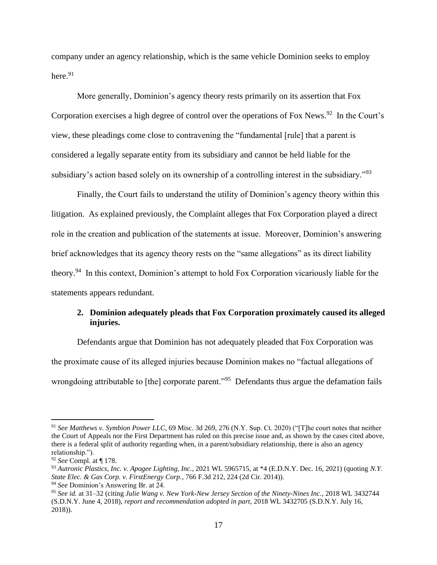company under an agency relationship, which is the same vehicle Dominion seeks to employ here. 91

More generally, Dominion's agency theory rests primarily on its assertion that Fox Corporation exercises a high degree of control over the operations of Fox News.<sup>92</sup> In the Court's view, these pleadings come close to contravening the "fundamental [rule] that a parent is considered a legally separate entity from its subsidiary and cannot be held liable for the subsidiary's action based solely on its ownership of a controlling interest in the subsidiary."<sup>93</sup>

Finally, the Court fails to understand the utility of Dominion's agency theory within this litigation. As explained previously, the Complaint alleges that Fox Corporation played a direct role in the creation and publication of the statements at issue. Moreover, Dominion's answering brief acknowledges that its agency theory rests on the "same allegations" as its direct liability theory.<sup>94</sup> In this context, Dominion's attempt to hold Fox Corporation vicariously liable for the statements appears redundant.

# **2. Dominion adequately pleads that Fox Corporation proximately caused its alleged injuries.**

Defendants argue that Dominion has not adequately pleaded that Fox Corporation was the proximate cause of its alleged injuries because Dominion makes no "factual allegations of wrongdoing attributable to [the] corporate parent."<sup>95</sup> Defendants thus argue the defamation fails

<sup>91</sup> *See Matthews v. Symbion Power LLC*, 69 Misc. 3d 269, 276 (N.Y. Sup. Ct. 2020) ("[T]he court notes that neither the Court of Appeals nor the First Department has ruled on this precise issue and, as shown by the cases cited above, there is a federal split of authority regarding when, in a parent/subsidiary relationship, there is also an agency relationship.").

<sup>92</sup> *See* Compl. at ¶ 178.

<sup>93</sup> *Autronic Plastics, Inc. v. Apogee Lighting, Inc.*, 2021 WL 5965715, at \*4 (E.D.N.Y. Dec. 16, 2021) (quoting *N.Y. State Elec. & Gas Corp. v. FirstEnergy Corp.*, 766 F.3d 212, 224 (2d Cir. 2014)). <sup>94</sup> *See* Dominion's Answering Br. at 24.

<sup>95</sup> *See id.* at 31–32 (citing *Julie Wang v. New York-New Jersey Section of the Ninety-Nines Inc.*, 2018 WL 3432744 (S.D.N.Y. June 4, 2018), *report and recommendation adopted in part*, 2018 WL 3432705 (S.D.N.Y. July 16, 2018)).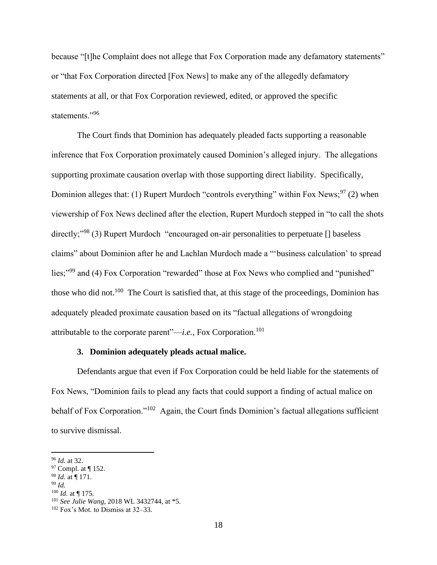because "[t]he Complaint does not allege that Fox Corporation made any defamatory statements" or "that Fox Corporation directed [Fox News] to make any of the allegedly defamatory statements at all, or that Fox Corporation reviewed, edited, or approved the specific statements."<sup>96</sup>

The Court finds that Dominion has adequately pleaded facts supporting a reasonable inference that Fox Corporation proximately caused Dominion's alleged injury. The allegations supporting proximate causation overlap with those supporting direct liability. Specifically, Dominion alleges that: (1) Rupert Murdoch "controls everything" within Fox News;  $97$  (2) when viewership of Fox News declined after the election, Rupert Murdoch stepped in "to call the shots directly;"<sup>98</sup> (3) Rupert Murdoch "encouraged on-air personalities to perpetuate [] baseless claims" about Dominion after he and Lachlan Murdoch made a "'business calculation' to spread lies;"<sup>99</sup> and (4) Fox Corporation "rewarded" those at Fox News who complied and "punished" those who did not.<sup>100</sup> The Court is satisfied that, at this stage of the proceedings, Dominion has adequately pleaded proximate causation based on its "factual allegations of wrongdoing attributable to the corporate parent"—*i.e.*, Fox Corporation.<sup>101</sup>

# **3. Dominion adequately pleads actual malice.**

Defendants argue that even if Fox Corporation could be held liable for the statements of Fox News, "Dominion fails to plead any facts that could support a finding of actual malice on behalf of Fox Corporation."<sup>102</sup> Again, the Court finds Dominion's factual allegations sufficient to survive dismissal.

<sup>100</sup> *Id.* at ¶ 175.

<sup>96</sup> *Id.* at 32.

<sup>97</sup> Compl. at ¶ 152.

<sup>98</sup> *Id.* at ¶ 171.

<sup>99</sup> *Id.* 

<sup>101</sup> *See Julie Wang*, 2018 WL 3432744, at \*5.

<sup>102</sup> Fox's Mot. to Dismiss at 32–33.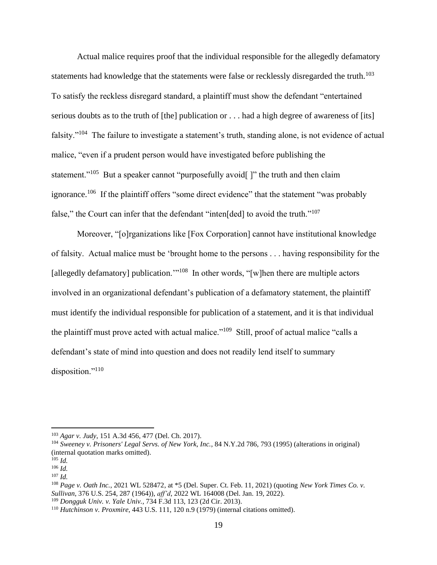Actual malice requires proof that the individual responsible for the allegedly defamatory statements had knowledge that the statements were false or recklessly disregarded the truth.<sup>103</sup> To satisfy the reckless disregard standard, a plaintiff must show the defendant "entertained serious doubts as to the truth of [the] publication or . . . had a high degree of awareness of [its] falsity."<sup>104</sup> The failure to investigate a statement's truth, standing alone, is not evidence of actual malice, "even if a prudent person would have investigated before publishing the statement."<sup>105</sup> But a speaker cannot "purposefully avoid[]" the truth and then claim ignorance.<sup>106</sup> If the plaintiff offers "some direct evidence" that the statement "was probably false," the Court can infer that the defendant "inten [ded] to avoid the truth."<sup>107</sup>

Moreover, "[o]rganizations like [Fox Corporation] cannot have institutional knowledge of falsity. Actual malice must be 'brought home to the persons . . . having responsibility for the [allegedly defamatory] publication."<sup>108</sup> In other words, "[w]hen there are multiple actors involved in an organizational defendant's publication of a defamatory statement, the plaintiff must identify the individual responsible for publication of a statement, and it is that individual the plaintiff must prove acted with actual malice."<sup>109</sup> Still, proof of actual malice "calls a defendant's state of mind into question and does not readily lend itself to summary disposition."<sup>110</sup>

<sup>103</sup> *Agar v. Judy*, 151 A.3d 456, 477 (Del. Ch. 2017).

<sup>104</sup> *Sweeney v. Prisoners' Legal Servs. of New York, Inc.*, 84 N.Y.2d 786, 793 (1995) (alterations in original) (internal quotation marks omitted).

<sup>105</sup> *Id.* <sup>106</sup> *Id.*

<sup>107</sup> *Id.*

<sup>108</sup> *Page v. Oath Inc.*, 2021 WL 528472, at \*5 (Del. Super. Ct. Feb. 11, 2021) (quoting *New York Times Co. v. Sullivan*, 376 U.S. 254, 287 (1964)), *aff'd*, 2022 WL 164008 (Del. Jan. 19, 2022).

<sup>109</sup> *Dongguk Univ. v. Yale Univ.*, 734 F.3d 113, 123 (2d Cir. 2013).

<sup>110</sup> *Hutchinson v. Proxmire*, 443 U.S. 111, 120 n.9 (1979) (internal citations omitted).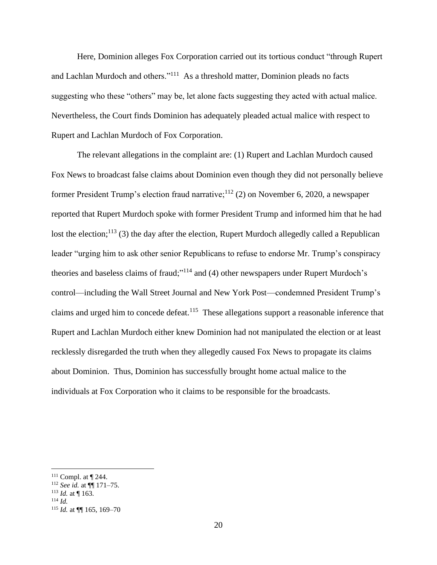Here, Dominion alleges Fox Corporation carried out its tortious conduct "through Rupert and Lachlan Murdoch and others."<sup>111</sup> As a threshold matter, Dominion pleads no facts suggesting who these "others" may be, let alone facts suggesting they acted with actual malice. Nevertheless, the Court finds Dominion has adequately pleaded actual malice with respect to Rupert and Lachlan Murdoch of Fox Corporation.

The relevant allegations in the complaint are: (1) Rupert and Lachlan Murdoch caused Fox News to broadcast false claims about Dominion even though they did not personally believe former President Trump's election fraud narrative;<sup>112</sup> (2) on November 6, 2020, a newspaper reported that Rupert Murdoch spoke with former President Trump and informed him that he had lost the election;<sup>113</sup> (3) the day after the election, Rupert Murdoch allegedly called a Republican leader "urging him to ask other senior Republicans to refuse to endorse Mr. Trump's conspiracy theories and baseless claims of fraud;"<sup>114</sup> and (4) other newspapers under Rupert Murdoch's control—including the Wall Street Journal and New York Post—condemned President Trump's claims and urged him to concede defeat.<sup>115</sup> These allegations support a reasonable inference that Rupert and Lachlan Murdoch either knew Dominion had not manipulated the election or at least recklessly disregarded the truth when they allegedly caused Fox News to propagate its claims about Dominion. Thus, Dominion has successfully brought home actual malice to the individuals at Fox Corporation who it claims to be responsible for the broadcasts.

<sup>111</sup> Compl. at ¶ 244.

<sup>112</sup> *See id.* at ¶¶ 171–75.

<sup>113</sup> *Id.* at ¶ 163.

<sup>114</sup> *Id.*

<sup>115</sup> *Id.* at ¶¶ 165, 169–70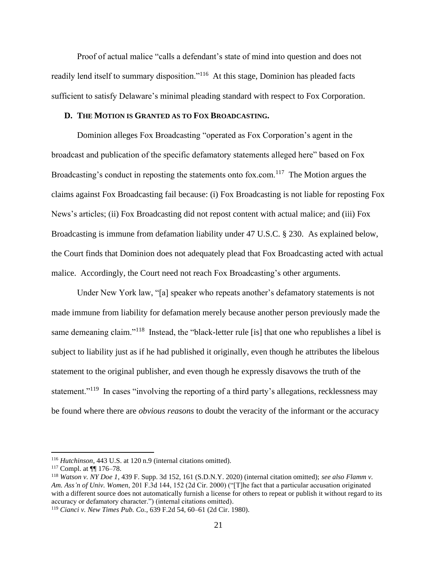Proof of actual malice "calls a defendant's state of mind into question and does not readily lend itself to summary disposition."<sup>116</sup> At this stage, Dominion has pleaded facts sufficient to satisfy Delaware's minimal pleading standard with respect to Fox Corporation.

## **D. THE MOTION IS GRANTED AS TO FOX BROADCASTING.**

Dominion alleges Fox Broadcasting "operated as Fox Corporation's agent in the broadcast and publication of the specific defamatory statements alleged here" based on Fox Broadcasting's conduct in reposting the statements onto fox.com.<sup>117</sup> The Motion argues the claims against Fox Broadcasting fail because: (i) Fox Broadcasting is not liable for reposting Fox News's articles; (ii) Fox Broadcasting did not repost content with actual malice; and (iii) Fox Broadcasting is immune from defamation liability under 47 U.S.C. § 230. As explained below, the Court finds that Dominion does not adequately plead that Fox Broadcasting acted with actual malice. Accordingly, the Court need not reach Fox Broadcasting's other arguments.

Under New York law, "[a] speaker who repeats another's defamatory statements is not made immune from liability for defamation merely because another person previously made the same demeaning claim."<sup>118</sup> Instead, the "black-letter rule [is] that one who republishes a libel is subject to liability just as if he had published it originally, even though he attributes the libelous statement to the original publisher, and even though he expressly disavows the truth of the statement."<sup>119</sup> In cases "involving the reporting of a third party's allegations, recklessness may be found where there are *obvious reasons* to doubt the veracity of the informant or the accuracy

<sup>116</sup> *Hutchinson,* 443 U.S. at 120 n.9 (internal citations omitted).

<sup>117</sup> Compl. at ¶¶ 176–78.

<sup>118</sup> *Watson v. NY Doe 1*, 439 F. Supp. 3d 152, 161 (S.D.N.Y. 2020) (internal citation omitted); *see also Flamm v. Am. Ass'n of Univ. Women*, 201 F.3d 144, 152 (2d Cir. 2000) ("[T]he fact that a particular accusation originated with a different source does not automatically furnish a license for others to repeat or publish it without regard to its accuracy or defamatory character.") (internal citations omitted).

<sup>119</sup> *Cianci v. New Times Pub. Co.*, 639 F.2d 54, 60–61 (2d Cir. 1980).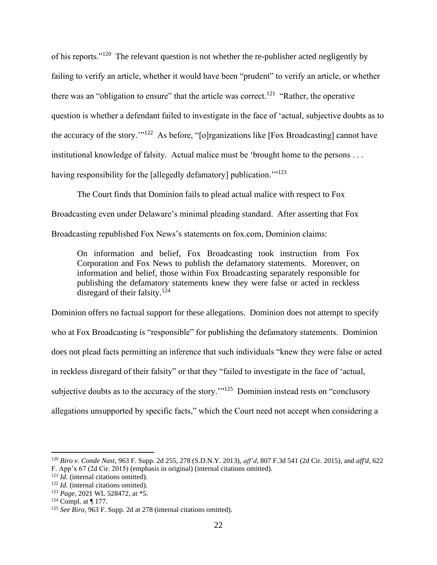of his reports."<sup>120</sup> The relevant question is not whether the re-publisher acted negligently by failing to verify an article, whether it would have been "prudent" to verify an article, or whether there was an "obligation to ensure" that the article was correct.<sup>121</sup> "Rather, the operative question is whether a defendant failed to investigate in the face of 'actual, subjective doubts as to the accuracy of the story."<sup>122</sup> As before, "[o]rganizations like [Fox Broadcasting] cannot have institutional knowledge of falsity. Actual malice must be 'brought home to the persons . . . having responsibility for the [allegedly defamatory] publication."<sup>123</sup>

The Court finds that Dominion fails to plead actual malice with respect to Fox Broadcasting even under Delaware's minimal pleading standard. After asserting that Fox Broadcasting republished Fox News's statements on fox.com, Dominion claims:

On information and belief, Fox Broadcasting took instruction from Fox Corporation and Fox News to publish the defamatory statements. Moreover, on information and belief, those within Fox Broadcasting separately responsible for publishing the defamatory statements knew they were false or acted in reckless disregard of their falsity.<sup>124</sup>

Dominion offers no factual support for these allegations. Dominion does not attempt to specify who at Fox Broadcasting is "responsible" for publishing the defamatory statements. Dominion does not plead facts permitting an inference that such individuals "knew they were false or acted in reckless disregard of their falsity" or that they "failed to investigate in the face of 'actual, subjective doubts as to the accuracy of the story. $\cdot$ <sup>125</sup> Dominion instead rests on "conclusory allegations unsupported by specific facts," which the Court need not accept when considering a

<sup>120</sup> *Biro v. Conde Nast*, 963 F. Supp. 2d 255, 278 (S.D.N.Y. 2013), *aff'd*, 807 F.3d 541 (2d Cir. 2015), and *aff'd*, 622 F. App'x 67 (2d Cir. 2015) (emphasis in original) (internal citations omitted).

<sup>&</sup>lt;sup>121</sup> *Id.* (internal citations omitted).

<sup>&</sup>lt;sup>122</sup> *Id.* (internal citations omitted).

<sup>123</sup> *Page*, 2021 WL 528472, at \*5.

 $124$  Compl. at  $\P$  177.

<sup>125</sup> *See Biro*, 963 F. Supp. 2d at 278 (internal citations omitted).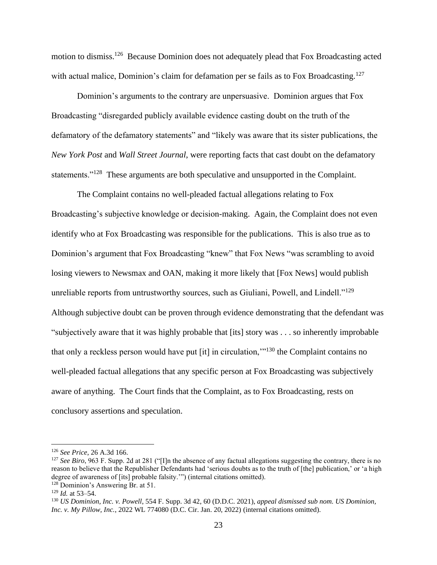motion to dismiss.<sup>126</sup> Because Dominion does not adequately plead that Fox Broadcasting acted with actual malice, Dominion's claim for defamation per se fails as to Fox Broadcasting.<sup>127</sup>

Dominion's arguments to the contrary are unpersuasive. Dominion argues that Fox Broadcasting "disregarded publicly available evidence casting doubt on the truth of the defamatory of the defamatory statements" and "likely was aware that its sister publications, the *New York Post* and *Wall Street Journal*, were reporting facts that cast doubt on the defamatory statements."<sup>128</sup> These arguments are both speculative and unsupported in the Complaint.

The Complaint contains no well-pleaded factual allegations relating to Fox Broadcasting's subjective knowledge or decision-making. Again, the Complaint does not even identify who at Fox Broadcasting was responsible for the publications. This is also true as to Dominion's argument that Fox Broadcasting "knew" that Fox News "was scrambling to avoid losing viewers to Newsmax and OAN, making it more likely that [Fox News] would publish unreliable reports from untrustworthy sources, such as Giuliani, Powell, and Lindell."<sup>129</sup> Although subjective doubt can be proven through evidence demonstrating that the defendant was "subjectively aware that it was highly probable that [its] story was . . . so inherently improbable that only a reckless person would have put [it] in circulation,'"<sup>130</sup> the Complaint contains no well-pleaded factual allegations that any specific person at Fox Broadcasting was subjectively aware of anything. The Court finds that the Complaint, as to Fox Broadcasting, rests on conclusory assertions and speculation.

<sup>126</sup> *See Price*, 26 A.3d 166.

<sup>&</sup>lt;sup>127</sup> *See Biro*, 963 F. Supp. 2d at 281 ("[I]n the absence of any factual allegations suggesting the contrary, there is no reason to believe that the Republisher Defendants had 'serious doubts as to the truth of [the] publication,' or 'a high degree of awareness of [its] probable falsity.'") (internal citations omitted). <sup>128</sup> Dominion's Answering Br. at 51.

<sup>129</sup> *Id.* at 53–54.

<sup>130</sup> *US Dominion, Inc. v. Powell*, 554 F. Supp. 3d 42, 60 (D.D.C. 2021), *appeal dismissed sub nom. US Dominion, Inc. v. My Pillow, Inc.*, 2022 WL 774080 (D.C. Cir. Jan. 20, 2022) (internal citations omitted).